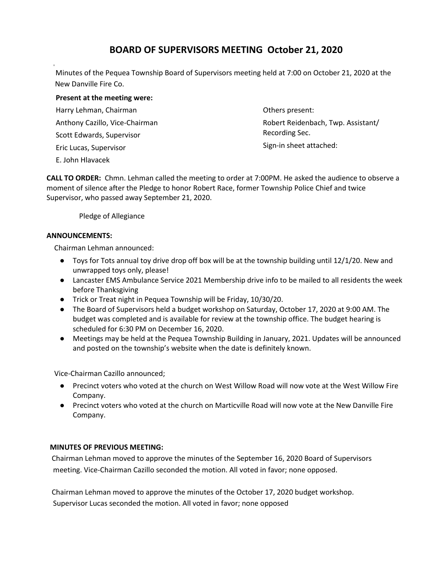# **BOARD OF SUPERVISORS MEETING October 21, 2020**

Minutes of the Pequea Township Board of Supervisors meeting held at 7:00 on October 21, 2020 at the New Danville Fire Co.

## **Present at the meeting were:**

Harry Lehman, Chairman Anthony Cazillo, Vice-Chairman Scott Edwards, Supervisor Eric Lucas, Supervisor E. John Hlavacek

Others present: Robert Reidenbach, Twp. Assistant/ Recording Sec.

Sign-in sheet attached:

**CALL TO ORDER:** Chmn. Lehman called the meeting to order at 7:00PM. He asked the audience to observe a moment of silence after the Pledge to honor Robert Race, former Township Police Chief and twice Supervisor, who passed away September 21, 2020.

Pledge of Allegiance

# **ANNOUNCEMENTS:**

Chairman Lehman announced:

- Toys for Tots annual toy drive drop off box will be at the township building until 12/1/20. New and unwrapped toys only, please!
- Lancaster EMS Ambulance Service 2021 Membership drive info to be mailed to all residents the week before Thanksgiving
- Trick or Treat night in Pequea Township will be Friday, 10/30/20.
- The Board of Supervisors held a budget workshop on Saturday, October 17, 2020 at 9:00 AM. The budget was completed and is available for review at the township office. The budget hearing is scheduled for 6:30 PM on December 16, 2020.
- Meetings may be held at the Pequea Township Building in January, 2021. Updates will be announced and posted on the township's website when the date is definitely known.

Vice-Chairman Cazillo announced;

- Precinct voters who voted at the church on West Willow Road will now vote at the West Willow Fire Company.
- Precinct voters who voted at the church on Marticville Road will now vote at the New Danville Fire Company.

# **MINUTES OF PREVIOUS MEETING:**

Chairman Lehman moved to approve the minutes of the September 16, 2020 Board of Supervisors meeting. Vice-Chairman Cazillo seconded the motion. All voted in favor; none opposed.

Chairman Lehman moved to approve the minutes of the October 17, 2020 budget workshop. Supervisor Lucas seconded the motion. All voted in favor; none opposed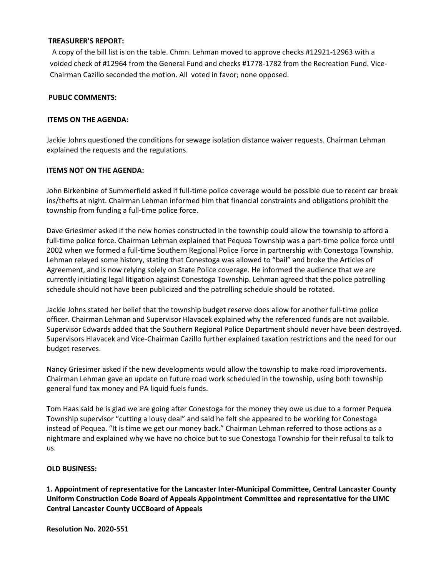## **TREASURER'S REPORT:**

 A copy of the bill list is on the table. Chmn. Lehman moved to approve checks #12921-12963 with a voided check of #12964 from the General Fund and checks #1778-1782 from the Recreation Fund. Vice-Chairman Cazillo seconded the motion. All voted in favor; none opposed.

## **PUBLIC COMMENTS:**

## **ITEMS ON THE AGENDA:**

Jackie Johns questioned the conditions for sewage isolation distance waiver requests. Chairman Lehman explained the requests and the regulations.

## **ITEMS NOT ON THE AGENDA:**

John Birkenbine of Summerfield asked if full-time police coverage would be possible due to recent car break ins/thefts at night. Chairman Lehman informed him that financial constraints and obligations prohibit the township from funding a full-time police force.

Dave Griesimer asked if the new homes constructed in the township could allow the township to afford a full-time police force. Chairman Lehman explained that Pequea Township was a part-time police force until 2002 when we formed a full-time Southern Regional Police Force in partnership with Conestoga Township. Lehman relayed some history, stating that Conestoga was allowed to "bail" and broke the Articles of Agreement, and is now relying solely on State Police coverage. He informed the audience that we are currently initiating legal litigation against Conestoga Township. Lehman agreed that the police patrolling schedule should not have been publicized and the patrolling schedule should be rotated.

Jackie Johns stated her belief that the township budget reserve does allow for another full-time police officer. Chairman Lehman and Supervisor Hlavacek explained why the referenced funds are not available. Supervisor Edwards added that the Southern Regional Police Department should never have been destroyed. Supervisors Hlavacek and Vice-Chairman Cazillo further explained taxation restrictions and the need for our budget reserves.

Nancy Griesimer asked if the new developments would allow the township to make road improvements. Chairman Lehman gave an update on future road work scheduled in the township, using both township general fund tax money and PA liquid fuels funds.

Tom Haas said he is glad we are going after Conestoga for the money they owe us due to a former Pequea Township supervisor "cutting a lousy deal" and said he felt she appeared to be working for Conestoga instead of Pequea. "It is time we get our money back." Chairman Lehman referred to those actions as a nightmare and explained why we have no choice but to sue Conestoga Township for their refusal to talk to us.

## **OLD BUSINESS:**

**1. Appointment of representative for the Lancaster Inter-Municipal Committee, Central Lancaster County Uniform Construction Code Board of Appeals Appointment Committee and representative for the LIMC Central Lancaster County UCCBoard of Appeals**

**Resolution No. 2020-551**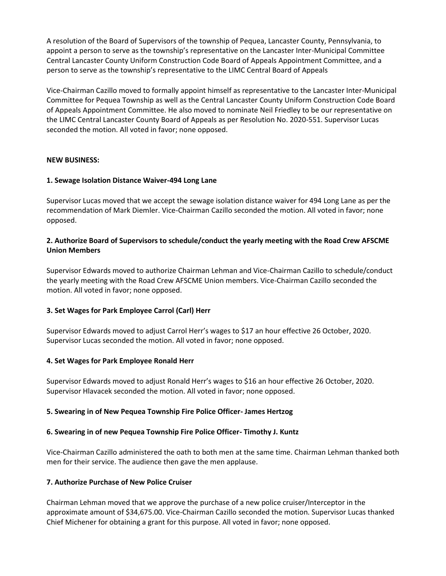A resolution of the Board of Supervisors of the township of Pequea, Lancaster County, Pennsylvania, to appoint a person to serve as the township's representative on the Lancaster Inter-Municipal Committee Central Lancaster County Uniform Construction Code Board of Appeals Appointment Committee, and a person to serve as the township's representative to the LIMC Central Board of Appeals

Vice-Chairman Cazillo moved to formally appoint himself as representative to the Lancaster Inter-Municipal Committee for Pequea Township as well as the Central Lancaster County Uniform Construction Code Board of Appeals Appointment Committee. He also moved to nominate Neil Friedley to be our representative on the LIMC Central Lancaster County Board of Appeals as per Resolution No. 2020-551. Supervisor Lucas seconded the motion. All voted in favor; none opposed.

## **NEW BUSINESS:**

## **1. Sewage Isolation Distance Waiver-494 Long Lane**

Supervisor Lucas moved that we accept the sewage isolation distance waiver for 494 Long Lane as per the recommendation of Mark Diemler. Vice-Chairman Cazillo seconded the motion. All voted in favor; none opposed.

## **2. Authorize Board of Supervisors to schedule/conduct the yearly meeting with the Road Crew AFSCME Union Members**

Supervisor Edwards moved to authorize Chairman Lehman and Vice-Chairman Cazillo to schedule/conduct the yearly meeting with the Road Crew AFSCME Union members. Vice-Chairman Cazillo seconded the motion. All voted in favor; none opposed.

## **3. Set Wages for Park Employee Carrol (Carl) Herr**

Supervisor Edwards moved to adjust Carrol Herr's wages to \$17 an hour effective 26 October, 2020. Supervisor Lucas seconded the motion. All voted in favor; none opposed.

## **4. Set Wages for Park Employee Ronald Herr**

Supervisor Edwards moved to adjust Ronald Herr's wages to \$16 an hour effective 26 October, 2020. Supervisor Hlavacek seconded the motion. All voted in favor; none opposed.

#### **5. Swearing in of New Pequea Township Fire Police Officer- James Hertzog**

#### **6. Swearing in of new Pequea Township Fire Police Officer- Timothy J. Kuntz**

Vice-Chairman Cazillo administered the oath to both men at the same time. Chairman Lehman thanked both men for their service. The audience then gave the men applause.

#### **7. Authorize Purchase of New Police Cruiser**

Chairman Lehman moved that we approve the purchase of a new police cruiser/Interceptor in the approximate amount of \$34,675.00. Vice-Chairman Cazillo seconded the motion. Supervisor Lucas thanked Chief Michener for obtaining a grant for this purpose. All voted in favor; none opposed.